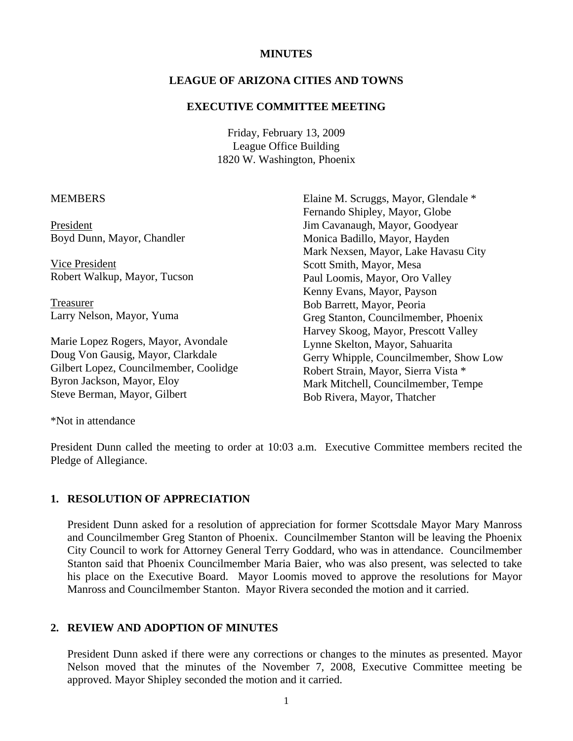### **MINUTES**

### **LEAGUE OF ARIZONA CITIES AND TOWNS**

#### **EXECUTIVE COMMITTEE MEETING**

Friday, February 13, 2009 League Office Building 1820 W. Washington, Phoenix

#### **MEMBERS**

President Boyd Dunn, Mayor, Chandler

 Vice President Robert Walkup, Mayor, Tucson

 Treasurer Larry Nelson, Mayor, Yuma

Marie Lopez Rogers, Mayor, Avondale Doug Von Gausig, Mayor, Clarkdale Gilbert Lopez, Councilmember, Coolidge Byron Jackson, Mayor, Eloy Steve Berman, Mayor, Gilbert

Elaine M. Scruggs, Mayor, Glendale \* Fernando Shipley, Mayor, Globe Jim Cavanaugh, Mayor, Goodyear Monica Badillo, Mayor, Hayden Mark Nexsen, Mayor, Lake Havasu City Scott Smith, Mayor, Mesa Paul Loomis, Mayor, Oro Valley Kenny Evans, Mayor, Payson Bob Barrett, Mayor, Peoria Greg Stanton, Councilmember, Phoenix Harvey Skoog, Mayor, Prescott Valley Lynne Skelton, Mayor, Sahuarita Gerry Whipple, Councilmember, Show Low Robert Strain, Mayor, Sierra Vista \* Mark Mitchell, Councilmember, Tempe Bob Rivera, Mayor, Thatcher

\*Not in attendance

President Dunn called the meeting to order at 10:03 a.m. Executive Committee members recited the Pledge of Allegiance.

#### **1. RESOLUTION OF APPRECIATION**

President Dunn asked for a resolution of appreciation for former Scottsdale Mayor Mary Manross and Councilmember Greg Stanton of Phoenix. Councilmember Stanton will be leaving the Phoenix City Council to work for Attorney General Terry Goddard, who was in attendance. Councilmember Stanton said that Phoenix Councilmember Maria Baier, who was also present, was selected to take his place on the Executive Board. Mayor Loomis moved to approve the resolutions for Mayor Manross and Councilmember Stanton. Mayor Rivera seconded the motion and it carried.

## **2. REVIEW AND ADOPTION OF MINUTES**

President Dunn asked if there were any corrections or changes to the minutes as presented. Mayor Nelson moved that the minutes of the November 7, 2008, Executive Committee meeting be approved. Mayor Shipley seconded the motion and it carried.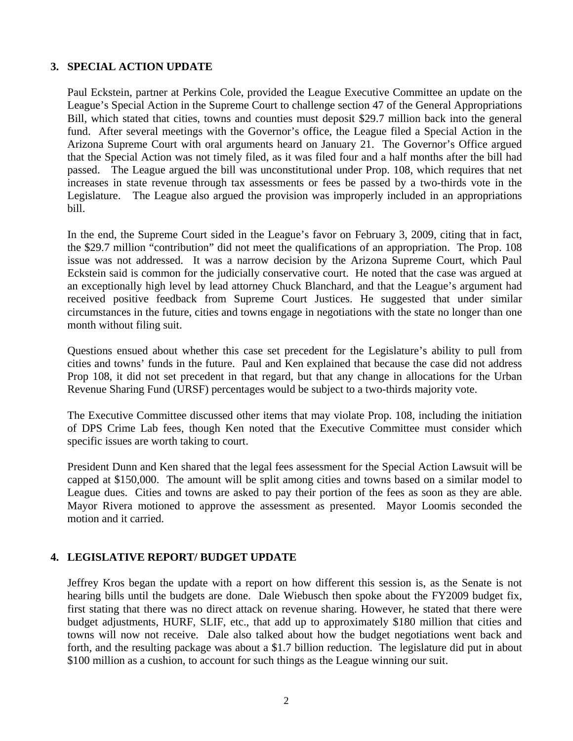## **3. SPECIAL ACTION UPDATE**

Paul Eckstein, partner at Perkins Cole, provided the League Executive Committee an update on the League's Special Action in the Supreme Court to challenge section 47 of the General Appropriations Bill, which stated that cities, towns and counties must deposit \$29.7 million back into the general fund. After several meetings with the Governor's office, the League filed a Special Action in the Arizona Supreme Court with oral arguments heard on January 21. The Governor's Office argued that the Special Action was not timely filed, as it was filed four and a half months after the bill had passed. The League argued the bill was unconstitutional under Prop. 108, which requires that net increases in state revenue through tax assessments or fees be passed by a two-thirds vote in the Legislature. The League also argued the provision was improperly included in an appropriations bill.

In the end, the Supreme Court sided in the League's favor on February 3, 2009, citing that in fact, the \$29.7 million "contribution" did not meet the qualifications of an appropriation. The Prop. 108 issue was not addressed. It was a narrow decision by the Arizona Supreme Court, which Paul Eckstein said is common for the judicially conservative court. He noted that the case was argued at an exceptionally high level by lead attorney Chuck Blanchard, and that the League's argument had received positive feedback from Supreme Court Justices. He suggested that under similar circumstances in the future, cities and towns engage in negotiations with the state no longer than one month without filing suit.

Questions ensued about whether this case set precedent for the Legislature's ability to pull from cities and towns' funds in the future. Paul and Ken explained that because the case did not address Prop 108, it did not set precedent in that regard, but that any change in allocations for the Urban Revenue Sharing Fund (URSF) percentages would be subject to a two-thirds majority vote.

The Executive Committee discussed other items that may violate Prop. 108, including the initiation of DPS Crime Lab fees, though Ken noted that the Executive Committee must consider which specific issues are worth taking to court.

President Dunn and Ken shared that the legal fees assessment for the Special Action Lawsuit will be capped at \$150,000. The amount will be split among cities and towns based on a similar model to League dues. Cities and towns are asked to pay their portion of the fees as soon as they are able. Mayor Rivera motioned to approve the assessment as presented. Mayor Loomis seconded the motion and it carried.

# **4. LEGISLATIVE REPORT/ BUDGET UPDATE**

Jeffrey Kros began the update with a report on how different this session is, as the Senate is not hearing bills until the budgets are done. Dale Wiebusch then spoke about the FY2009 budget fix, first stating that there was no direct attack on revenue sharing. However, he stated that there were budget adjustments, HURF, SLIF, etc., that add up to approximately \$180 million that cities and towns will now not receive. Dale also talked about how the budget negotiations went back and forth, and the resulting package was about a \$1.7 billion reduction. The legislature did put in about \$100 million as a cushion, to account for such things as the League winning our suit.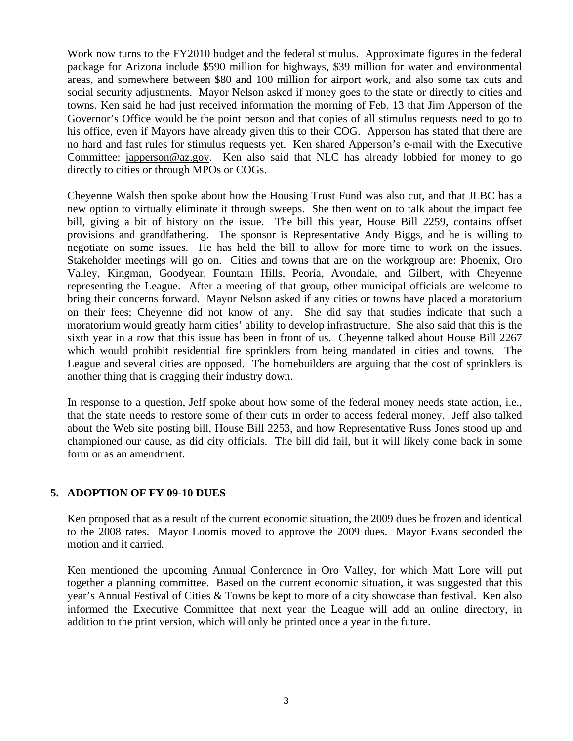Work now turns to the FY2010 budget and the federal stimulus. Approximate figures in the federal package for Arizona include \$590 million for highways, \$39 million for water and environmental areas, and somewhere between \$80 and 100 million for airport work, and also some tax cuts and social security adjustments. Mayor Nelson asked if money goes to the state or directly to cities and towns. Ken said he had just received information the morning of Feb. 13 that Jim Apperson of the Governor's Office would be the point person and that copies of all stimulus requests need to go to his office, even if Mayors have already given this to their COG. Apperson has stated that there are no hard and fast rules for stimulus requests yet. Ken shared Apperson's e-mail with the Executive Committee: japperson@az.gov. Ken also said that NLC has already lobbied for money to go directly to cities or through MPOs or COGs.

Cheyenne Walsh then spoke about how the Housing Trust Fund was also cut, and that JLBC has a new option to virtually eliminate it through sweeps. She then went on to talk about the impact fee bill, giving a bit of history on the issue. The bill this year, House Bill 2259, contains offset provisions and grandfathering. The sponsor is Representative Andy Biggs, and he is willing to negotiate on some issues. He has held the bill to allow for more time to work on the issues. Stakeholder meetings will go on. Cities and towns that are on the workgroup are: Phoenix, Oro Valley, Kingman, Goodyear, Fountain Hills, Peoria, Avondale, and Gilbert, with Cheyenne representing the League. After a meeting of that group, other municipal officials are welcome to bring their concerns forward. Mayor Nelson asked if any cities or towns have placed a moratorium on their fees; Cheyenne did not know of any. She did say that studies indicate that such a moratorium would greatly harm cities' ability to develop infrastructure. She also said that this is the sixth year in a row that this issue has been in front of us. Cheyenne talked about House Bill 2267 which would prohibit residential fire sprinklers from being mandated in cities and towns. The League and several cities are opposed. The homebuilders are arguing that the cost of sprinklers is another thing that is dragging their industry down.

In response to a question, Jeff spoke about how some of the federal money needs state action, i.e., that the state needs to restore some of their cuts in order to access federal money. Jeff also talked about the Web site posting bill, House Bill 2253, and how Representative Russ Jones stood up and championed our cause, as did city officials. The bill did fail, but it will likely come back in some form or as an amendment.

## **5. ADOPTION OF FY 09-10 DUES**

Ken proposed that as a result of the current economic situation, the 2009 dues be frozen and identical to the 2008 rates. Mayor Loomis moved to approve the 2009 dues. Mayor Evans seconded the motion and it carried.

Ken mentioned the upcoming Annual Conference in Oro Valley, for which Matt Lore will put together a planning committee. Based on the current economic situation, it was suggested that this year's Annual Festival of Cities & Towns be kept to more of a city showcase than festival. Ken also informed the Executive Committee that next year the League will add an online directory, in addition to the print version, which will only be printed once a year in the future.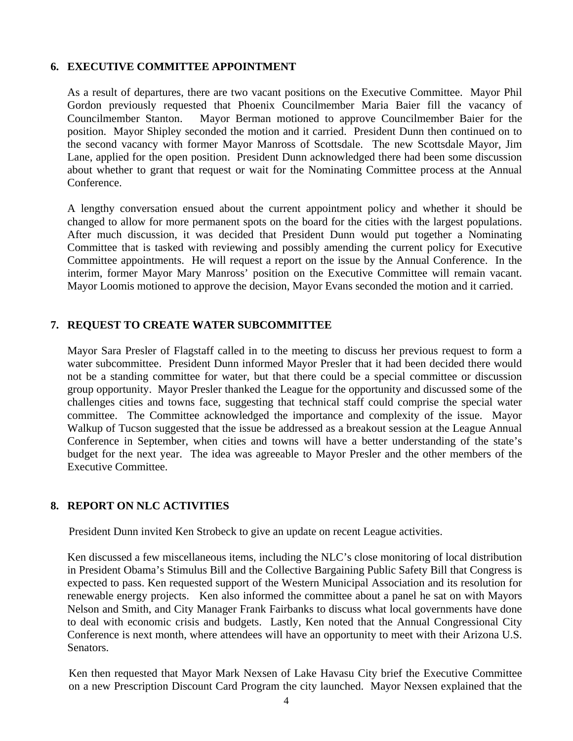## **6. EXECUTIVE COMMITTEE APPOINTMENT**

As a result of departures, there are two vacant positions on the Executive Committee. Mayor Phil Gordon previously requested that Phoenix Councilmember Maria Baier fill the vacancy of Councilmember Stanton. Mayor Berman motioned to approve Councilmember Baier for the position. Mayor Shipley seconded the motion and it carried. President Dunn then continued on to the second vacancy with former Mayor Manross of Scottsdale. The new Scottsdale Mayor, Jim Lane, applied for the open position. President Dunn acknowledged there had been some discussion about whether to grant that request or wait for the Nominating Committee process at the Annual Conference.

A lengthy conversation ensued about the current appointment policy and whether it should be changed to allow for more permanent spots on the board for the cities with the largest populations. After much discussion, it was decided that President Dunn would put together a Nominating Committee that is tasked with reviewing and possibly amending the current policy for Executive Committee appointments. He will request a report on the issue by the Annual Conference. In the interim, former Mayor Mary Manross' position on the Executive Committee will remain vacant. Mayor Loomis motioned to approve the decision, Mayor Evans seconded the motion and it carried.

# **7. REQUEST TO CREATE WATER SUBCOMMITTEE**

Mayor Sara Presler of Flagstaff called in to the meeting to discuss her previous request to form a water subcommittee. President Dunn informed Mayor Presler that it had been decided there would not be a standing committee for water, but that there could be a special committee or discussion group opportunity. Mayor Presler thanked the League for the opportunity and discussed some of the challenges cities and towns face, suggesting that technical staff could comprise the special water committee. The Committee acknowledged the importance and complexity of the issue. Mayor Walkup of Tucson suggested that the issue be addressed as a breakout session at the League Annual Conference in September, when cities and towns will have a better understanding of the state's budget for the next year. The idea was agreeable to Mayor Presler and the other members of the Executive Committee.

# **8. REPORT ON NLC ACTIVITIES**

President Dunn invited Ken Strobeck to give an update on recent League activities.

Ken discussed a few miscellaneous items, including the NLC's close monitoring of local distribution in President Obama's Stimulus Bill and the Collective Bargaining Public Safety Bill that Congress is expected to pass. Ken requested support of the Western Municipal Association and its resolution for renewable energy projects. Ken also informed the committee about a panel he sat on with Mayors Nelson and Smith, and City Manager Frank Fairbanks to discuss what local governments have done to deal with economic crisis and budgets. Lastly, Ken noted that the Annual Congressional City Conference is next month, where attendees will have an opportunity to meet with their Arizona U.S. Senators.

Ken then requested that Mayor Mark Nexsen of Lake Havasu City brief the Executive Committee on a new Prescription Discount Card Program the city launched. Mayor Nexsen explained that the